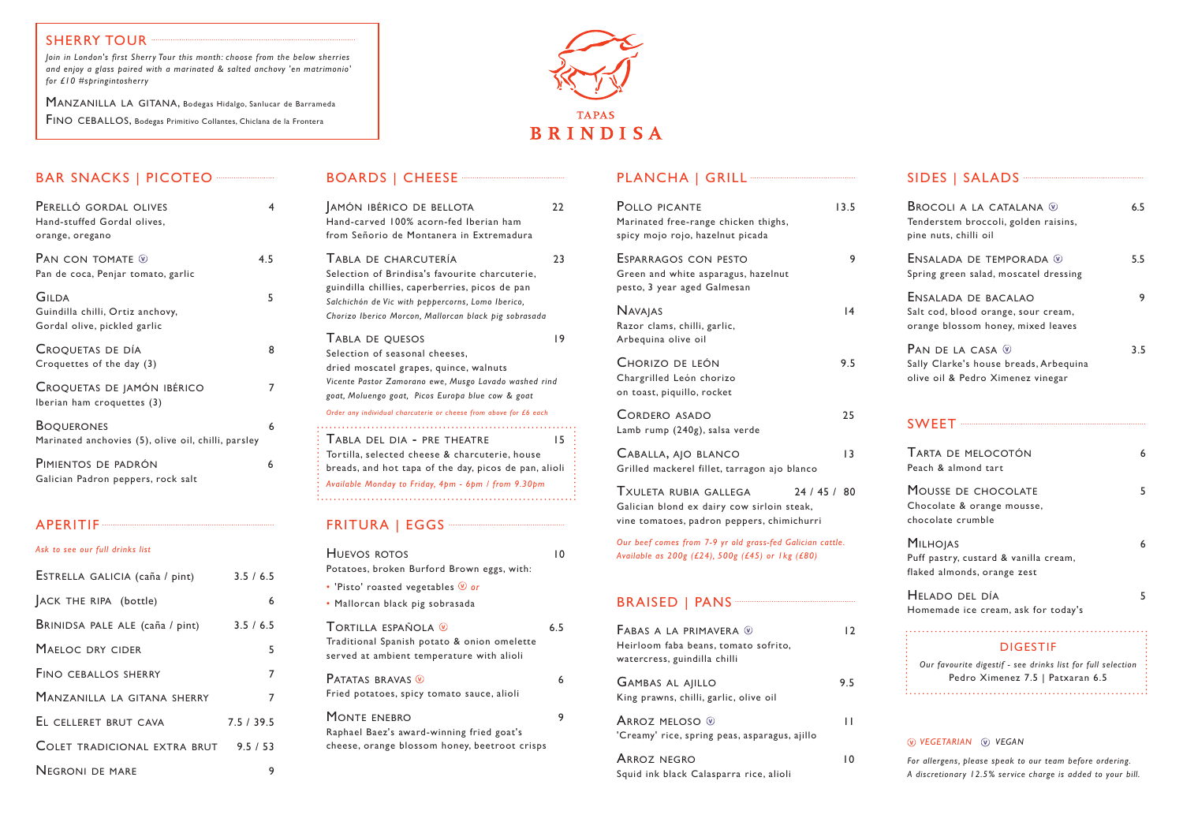| PERELLÓ GORDAL OLIVES<br>Hand-stuffed Gordal olives,<br>orange, oregano          | 4   |
|----------------------------------------------------------------------------------|-----|
| PAN CON TOMATE $\mathcal D$<br>Pan de coca, Penjar tomato, garlic                | 4.5 |
| <b>GILDA</b><br>Guindilla chilli, Ortiz anchovy,<br>Gordal olive, pickled garlic | 5   |
| CROQUETAS DE DÍA<br>Croquettes of the day (3)                                    | 8   |
| CROQUETAS DE JAMÓN IBÉRICO<br>Iberian ham croquettes (3)                         | 7   |
| <b>BOQUERONES</b><br>Marinated anchovies (5), olive oil, chilli, parsley         | 6   |
| PIMIENTOS DE PADRÓN                                                              | 6   |

Galician Padron peppers, rock salt

### APERITIF

*Ask to see our full drinks list* 

| ESTRELLA GALICIA (caña / pint)  | 3.5 / 6.5 |
|---------------------------------|-----------|
| ACK THE RIPA (bottle)           | 6         |
| BRINIDSA PALE ALE (caña / pint) | 3.5 / 6.5 |
| MAELOC DRY CIDER                | 5         |
| <b>FINO CEBALLOS SHERRY</b>     | 7         |
| MANZANILLA LA GITANA SHERRY     | 7         |
| EL CELLERET BRUT CAVA           | 7.5/39.5  |
| COLET TRADICIONAL EXTRA BRUT    | 9.5 / 53  |
| <b>NEGRONI DE MARE</b>          |           |

# BOARDS | CHEESE ·

| JAMÓN IBÉRICO DE BELLOTA<br>Hand-carved 100% acorn-fed Iberian ham<br>from Señorio de Montanera in Extremadura                                                                                                                                                                 | 22 |
|--------------------------------------------------------------------------------------------------------------------------------------------------------------------------------------------------------------------------------------------------------------------------------|----|
| TABLA DE CHARCUTERÍA<br>Selection of Brindisa's favourite charcuterie,<br>guindilla chillies, caperberries, picos de pan<br>Salchichón de Vic with peppercorns, Lomo Iberico,<br>Chorizo Iberico Morcon, Mallorcan black pig sobrasada                                         | 23 |
| TABLA DE QUESOS<br>Selection of seasonal cheeses.<br>dried moscatel grapes, quince, walnuts<br>Vicente Pastor Zamorano ewe, Musgo Lavado washed rind<br>goat, Moluengo goat, Picos Europa blue cow & goat<br>Order any individual charcuterie or cheese from above for £6 each | 19 |
| <u>.</u><br>TABLA DEL DIA - PRE THEATRE<br>Tortilla, selected cheese & charcuterie, house<br>breads, and hot tapa of the day, picos de pan, alioli<br>Available Monday to Friday, 4pm - 6pm / from 9.30pm                                                                      | 15 |

# FRITURA | EGGS

| HUEVOS ROTOS<br>Potatoes, broken Burford Brown eggs, with:                                                                  | ۱0  |
|-----------------------------------------------------------------------------------------------------------------------------|-----|
| • 'Pisto' roasted vegetables $\mathcal Q$ or<br>· Mallorcan black pig sobrasada                                             |     |
| Tortilla española $\circledast$<br>Traditional Spanish potato & onion omelette<br>served at ambient temperature with alioli | 6.5 |
| <b>PATATAS BRAVAS W</b><br>Fried potatoes, spicy tomato sauce, alioli                                                       | 6   |
| MONTE ENEBRO<br>Raphael Baez's award-winning fried goat's<br>cheese, orange blossom honey, beetroot crisps                  | 9   |

# PLANCHA | GRILL<sup>---</sup>

| POLLO PICANTE<br>13.5<br>Marinated free-range chicken thighs,<br>spicy mojo rojo, hazelnut picada                             |    |
|-------------------------------------------------------------------------------------------------------------------------------|----|
| ESPARRAGOS CON PESTO<br>Green and white asparagus, hazelnut<br>pesto, 3 year aged Galmesan                                    | 9  |
| <b>NAVAJAS</b><br>Razor clams, chilli, garlic,<br>Arbequina olive oil                                                         | 14 |
| CHORIZO DE LEÓN<br>9.5<br>Chargrilled León chorizo<br>on toast, piquillo, rocket                                              |    |
| <b>CORDERO ASADO</b><br>25<br>Lamb rump (240g), salsa verde                                                                   |    |
| CABALLA, AJO BLANCO<br>Grilled mackerel fillet, tarragon ajo blanco                                                           | 13 |
| TXULETA RUBIA GALLEGA<br>24/45/80<br>Galician blond ex dairy cow sirloin steak,<br>vine tomatoes, padron peppers, chimichurri |    |
| Our beef comes from 7-9 yr old grass-fed Galician cattle.<br>Available as 200g (£24), 500g (£45) or 1kg (£80)                 |    |
|                                                                                                                               |    |
| FABAS A LA PRIMAVERA ®<br>Heirloom faba beans, tomato sofrito,<br>watercress, guindilla chilli                                | 12 |
| <b>GAMBAS AL AJILLO</b><br>9.5<br>King prawns, chilli, garlic, olive oil                                                      |    |

| ARROZ MELOSO V<br>'Creamy' rice, spring peas, asparagus, ajillo | Н  |
|-----------------------------------------------------------------|----|
| ARROZ NEGRO                                                     | ın |

Squid ink black Calasparra rice, alioli

| SIDES   SALADS ~~~~~~~~~~~~~~~~~~~~~~~~~~~~~~                                                                      |     |
|--------------------------------------------------------------------------------------------------------------------|-----|
| <b>BROCOLI A LA CATALANA W</b><br>Tenderstem broccoli, golden raisins,<br>pine nuts, chilli oil                    | 6.5 |
| ENSALADA DE TEMPORADA ®<br>Spring green salad, moscatel dressing                                                   | 5.5 |
| ENSALADA DE BACALAO<br>Salt cod, blood orange, sour cream,<br>orange blossom honey, mixed leaves                   | 9   |
| PAN DE LA CASA $\mathcal Q$<br>Sally Clarke's house breads, Arbequina<br>olive oil & Pedro Ximenez vinegar         | 3.5 |
|                                                                                                                    |     |
| TARTA DE MELOCOTÓN<br>Peach & almond tart                                                                          | 6   |
| MOUSSE DE CHOCOLATE<br>Chocolate & orange mousse,<br>chocolate crumble                                             | 5   |
| <b>MILHOJAS</b><br>Puff pastry, custard & vanilla cream,<br>flaked almonds, orange zest                            | 6   |
| HELADO DEL DÍA<br>Homemade ice cream, ask for today's                                                              | 5   |
| <b>DIGESTIF</b><br>Our favourite digestif - see drinks list for full selection<br>Pedro Ximenez 7.5   Patxaran 6.5 |     |
|                                                                                                                    |     |

#### *vegetarian vegan*

*For allergens, please speak to our team before ordering. A discretionary 12.5% service charge is added to your bill.*

# **SHERRY TOUR**

*Join in London's first Sherry Tour this month: choose from the below sherries and enjoy a glass paired with a marinated & salted anchovy 'en matrimonio' for £10 #springintosherry*

MANZANILLA LA GITANA, Bodegas Hidalgo, Sanlucar de Barrameda FINO CEBALLOS, Bodegas Primitivo Collantes, Chiclana de la Frontera